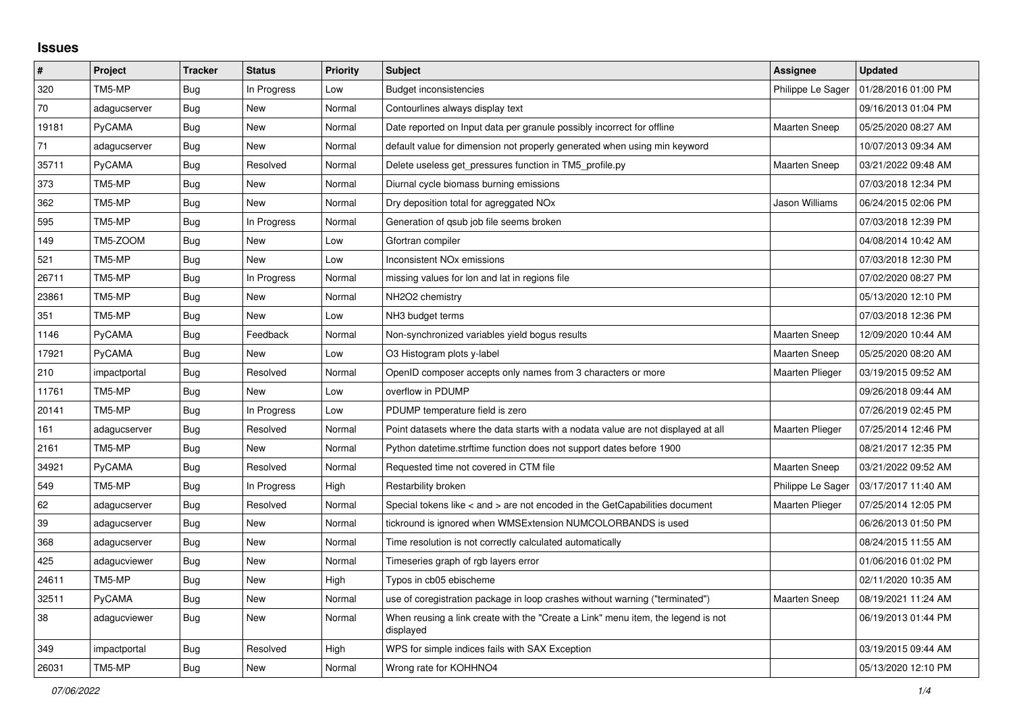## **Issues**

| $\pmb{\sharp}$ | Project      | <b>Tracker</b> | <b>Status</b> | <b>Priority</b> | Subject                                                                                       | Assignee               | <b>Updated</b>      |
|----------------|--------------|----------------|---------------|-----------------|-----------------------------------------------------------------------------------------------|------------------------|---------------------|
| 320            | TM5-MP       | Bug            | In Progress   | Low             | Budget inconsistencies                                                                        | Philippe Le Sager      | 01/28/2016 01:00 PM |
| 70             | adagucserver | Bug            | <b>New</b>    | Normal          | Contourlines always display text                                                              |                        | 09/16/2013 01:04 PM |
| 19181          | PyCAMA       | Bug            | New           | Normal          | Date reported on Input data per granule possibly incorrect for offline                        | <b>Maarten Sneep</b>   | 05/25/2020 08:27 AM |
| 71             | adagucserver | Bug            | <b>New</b>    | Normal          | default value for dimension not properly generated when using min keyword                     |                        | 10/07/2013 09:34 AM |
| 35711          | PyCAMA       | Bug            | Resolved      | Normal          | Delete useless get pressures function in TM5 profile.py                                       | <b>Maarten Sneep</b>   | 03/21/2022 09:48 AM |
| 373            | TM5-MP       | <b>Bug</b>     | <b>New</b>    | Normal          | Diurnal cycle biomass burning emissions                                                       |                        | 07/03/2018 12:34 PM |
| 362            | TM5-MP       | Bug            | New           | Normal          | Dry deposition total for agreggated NO <sub>x</sub>                                           | Jason Williams         | 06/24/2015 02:06 PM |
| 595            | TM5-MP       | Bug            | In Progress   | Normal          | Generation of qsub job file seems broken                                                      |                        | 07/03/2018 12:39 PM |
| 149            | TM5-ZOOM     | Bug            | <b>New</b>    | Low             | Gfortran compiler                                                                             |                        | 04/08/2014 10:42 AM |
| 521            | TM5-MP       | Bug            | New           | Low             | <b>Inconsistent NOx emissions</b>                                                             |                        | 07/03/2018 12:30 PM |
| 26711          | TM5-MP       | Bug            | In Progress   | Normal          | missing values for lon and lat in regions file                                                |                        | 07/02/2020 08:27 PM |
| 23861          | TM5-MP       | <b>Bug</b>     | New           | Normal          | NH2O2 chemistry                                                                               |                        | 05/13/2020 12:10 PM |
| 351            | TM5-MP       | Bug            | New           | Low             | NH3 budget terms                                                                              |                        | 07/03/2018 12:36 PM |
| 1146           | PyCAMA       | Bug            | Feedback      | Normal          | Non-synchronized variables yield bogus results                                                | <b>Maarten Sneep</b>   | 12/09/2020 10:44 AM |
| 17921          | PyCAMA       | Bug            | <b>New</b>    | Low             | O3 Histogram plots y-label                                                                    | <b>Maarten Sneep</b>   | 05/25/2020 08:20 AM |
| 210            | impactportal | <b>Bug</b>     | Resolved      | Normal          | OpenID composer accepts only names from 3 characters or more                                  | <b>Maarten Plieger</b> | 03/19/2015 09:52 AM |
| 11761          | TM5-MP       | Bug            | New           | Low             | overflow in PDUMP                                                                             |                        | 09/26/2018 09:44 AM |
| 20141          | TM5-MP       | Bug            | In Progress   | Low             | PDUMP temperature field is zero                                                               |                        | 07/26/2019 02:45 PM |
| 161            | adagucserver | Bug            | Resolved      | Normal          | Point datasets where the data starts with a nodata value are not displayed at all             | <b>Maarten Plieger</b> | 07/25/2014 12:46 PM |
| 2161           | TM5-MP       | Bug            | New           | Normal          | Python datetime.strftime function does not support dates before 1900                          |                        | 08/21/2017 12:35 PM |
| 34921          | PyCAMA       | <b>Bug</b>     | Resolved      | Normal          | Requested time not covered in CTM file                                                        | Maarten Sneep          | 03/21/2022 09:52 AM |
| 549            | TM5-MP       | <b>Bug</b>     | In Progress   | High            | Restarbility broken                                                                           | Philippe Le Sager      | 03/17/2017 11:40 AM |
| 62             | adagucserver | <b>Bug</b>     | Resolved      | Normal          | Special tokens like < and > are not encoded in the GetCapabilities document                   | Maarten Plieger        | 07/25/2014 12:05 PM |
| 39             | adagucserver | <b>Bug</b>     | <b>New</b>    | Normal          | tickround is ignored when WMSExtension NUMCOLORBANDS is used                                  |                        | 06/26/2013 01:50 PM |
| 368            | adagucserver | Bug            | <b>New</b>    | Normal          | Time resolution is not correctly calculated automatically                                     |                        | 08/24/2015 11:55 AM |
| 425            | adagucviewer | <b>Bug</b>     | <b>New</b>    | Normal          | Timeseries graph of rgb layers error                                                          |                        | 01/06/2016 01:02 PM |
| 24611          | TM5-MP       | <b>Bug</b>     | New           | High            | Typos in cb05 ebischeme                                                                       |                        | 02/11/2020 10:35 AM |
| 32511          | PyCAMA       | Bug            | <b>New</b>    | Normal          | use of coregistration package in loop crashes without warning ("terminated")                  | <b>Maarten Sneep</b>   | 08/19/2021 11:24 AM |
| 38             | adagucviewer | <b>Bug</b>     | <b>New</b>    | Normal          | When reusing a link create with the "Create a Link" menu item, the legend is not<br>displayed |                        | 06/19/2013 01:44 PM |
| 349            | impactportal | <b>Bug</b>     | Resolved      | High            | WPS for simple indices fails with SAX Exception                                               |                        | 03/19/2015 09:44 AM |
| 26031          | TM5-MP       | <b>Bug</b>     | New           | Normal          | Wrong rate for KOHHNO4                                                                        |                        | 05/13/2020 12:10 PM |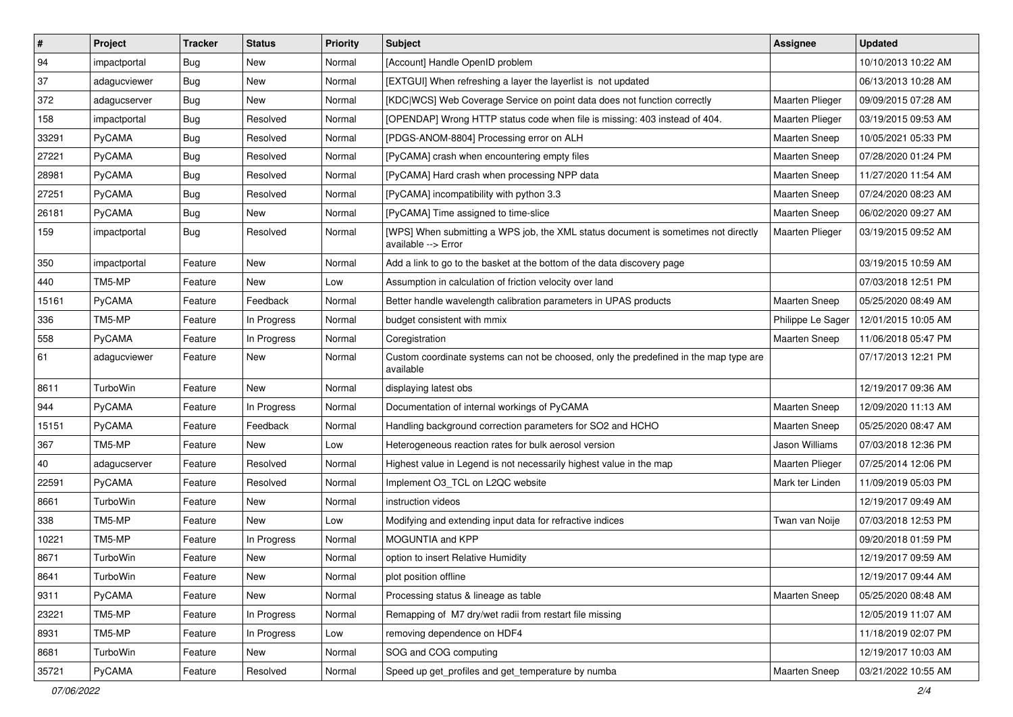| $\vert$ # | Project      | <b>Tracker</b> | <b>Status</b> | <b>Priority</b> | <b>Subject</b>                                                                                            | <b>Assignee</b>        | <b>Updated</b>      |
|-----------|--------------|----------------|---------------|-----------------|-----------------------------------------------------------------------------------------------------------|------------------------|---------------------|
| 94        | impactportal | <b>Bug</b>     | New           | Normal          | [Account] Handle OpenID problem                                                                           |                        | 10/10/2013 10:22 AM |
| 37        | adagucviewer | <b>Bug</b>     | <b>New</b>    | Normal          | [EXTGUI] When refreshing a layer the layerlist is not updated                                             |                        | 06/13/2013 10:28 AM |
| 372       | adagucserver | <b>Bug</b>     | New           | Normal          | [KDC WCS] Web Coverage Service on point data does not function correctly                                  | Maarten Plieger        | 09/09/2015 07:28 AM |
| 158       | impactportal | Bug            | Resolved      | Normal          | [OPENDAP] Wrong HTTP status code when file is missing: 403 instead of 404.                                | <b>Maarten Plieger</b> | 03/19/2015 09:53 AM |
| 33291     | PyCAMA       | <b>Bug</b>     | Resolved      | Normal          | [PDGS-ANOM-8804] Processing error on ALH                                                                  | Maarten Sneep          | 10/05/2021 05:33 PM |
| 27221     | PyCAMA       | <b>Bug</b>     | Resolved      | Normal          | [PyCAMA] crash when encountering empty files                                                              | <b>Maarten Sneep</b>   | 07/28/2020 01:24 PM |
| 28981     | PyCAMA       | <b>Bug</b>     | Resolved      | Normal          | [PyCAMA] Hard crash when processing NPP data                                                              | Maarten Sneep          | 11/27/2020 11:54 AM |
| 27251     | PyCAMA       | <b>Bug</b>     | Resolved      | Normal          | [PyCAMA] incompatibility with python 3.3                                                                  | <b>Maarten Sneep</b>   | 07/24/2020 08:23 AM |
| 26181     | PyCAMA       | <b>Bug</b>     | New           | Normal          | [PyCAMA] Time assigned to time-slice                                                                      | Maarten Sneep          | 06/02/2020 09:27 AM |
| 159       | impactportal | <b>Bug</b>     | Resolved      | Normal          | [WPS] When submitting a WPS job, the XML status document is sometimes not directly<br>available --> Error | Maarten Plieger        | 03/19/2015 09:52 AM |
| 350       | impactportal | Feature        | <b>New</b>    | Normal          | Add a link to go to the basket at the bottom of the data discovery page                                   |                        | 03/19/2015 10:59 AM |
| 440       | TM5-MP       | Feature        | <b>New</b>    | Low             | Assumption in calculation of friction velocity over land                                                  |                        | 07/03/2018 12:51 PM |
| 15161     | PyCAMA       | Feature        | Feedback      | Normal          | Better handle wavelength calibration parameters in UPAS products                                          | Maarten Sneep          | 05/25/2020 08:49 AM |
| 336       | TM5-MP       | Feature        | In Progress   | Normal          | budget consistent with mmix                                                                               | Philippe Le Sager      | 12/01/2015 10:05 AM |
| 558       | PyCAMA       | Feature        | In Progress   | Normal          | Coregistration                                                                                            | <b>Maarten Sneep</b>   | 11/06/2018 05:47 PM |
| 61        | adagucviewer | Feature        | New           | Normal          | Custom coordinate systems can not be choosed, only the predefined in the map type are<br>available        |                        | 07/17/2013 12:21 PM |
| 8611      | TurboWin     | Feature        | New           | Normal          | displaying latest obs                                                                                     |                        | 12/19/2017 09:36 AM |
| 944       | PyCAMA       | Feature        | In Progress   | Normal          | Documentation of internal workings of PyCAMA                                                              | <b>Maarten Sneep</b>   | 12/09/2020 11:13 AM |
| 15151     | PyCAMA       | Feature        | Feedback      | Normal          | Handling background correction parameters for SO2 and HCHO                                                | Maarten Sneep          | 05/25/2020 08:47 AM |
| 367       | TM5-MP       | Feature        | New           | Low             | Heterogeneous reaction rates for bulk aerosol version                                                     | Jason Williams         | 07/03/2018 12:36 PM |
| 40        | adagucserver | Feature        | Resolved      | Normal          | Highest value in Legend is not necessarily highest value in the map                                       | Maarten Plieger        | 07/25/2014 12:06 PM |
| 22591     | PyCAMA       | Feature        | Resolved      | Normal          | Implement O3_TCL on L2QC website                                                                          | Mark ter Linden        | 11/09/2019 05:03 PM |
| 8661      | TurboWin     | Feature        | New           | Normal          | instruction videos                                                                                        |                        | 12/19/2017 09:49 AM |
| 338       | TM5-MP       | Feature        | <b>New</b>    | Low             | Modifying and extending input data for refractive indices                                                 | Twan van Noije         | 07/03/2018 12:53 PM |
| 10221     | TM5-MP       | Feature        | In Progress   | Normal          | MOGUNTIA and KPP                                                                                          |                        | 09/20/2018 01:59 PM |
| 8671      | TurboWin     | Feature        | New           | Normal          | option to insert Relative Humidity                                                                        |                        | 12/19/2017 09:59 AM |
| 8641      | TurboWin     | Feature        | New           | Normal          | plot position offline                                                                                     |                        | 12/19/2017 09:44 AM |
| 9311      | PyCAMA       | Feature        | New           | Normal          | Processing status & lineage as table                                                                      | Maarten Sneep          | 05/25/2020 08:48 AM |
| 23221     | TM5-MP       | Feature        | In Progress   | Normal          | Remapping of M7 dry/wet radii from restart file missing                                                   |                        | 12/05/2019 11:07 AM |
| 8931      | TM5-MP       | Feature        | In Progress   | Low             | removing dependence on HDF4                                                                               |                        | 11/18/2019 02:07 PM |
| 8681      | TurboWin     | Feature        | New           | Normal          | SOG and COG computing                                                                                     |                        | 12/19/2017 10:03 AM |
| 35721     | PyCAMA       | Feature        | Resolved      | Normal          | Speed up get_profiles and get_temperature by numba                                                        | Maarten Sneep          | 03/21/2022 10:55 AM |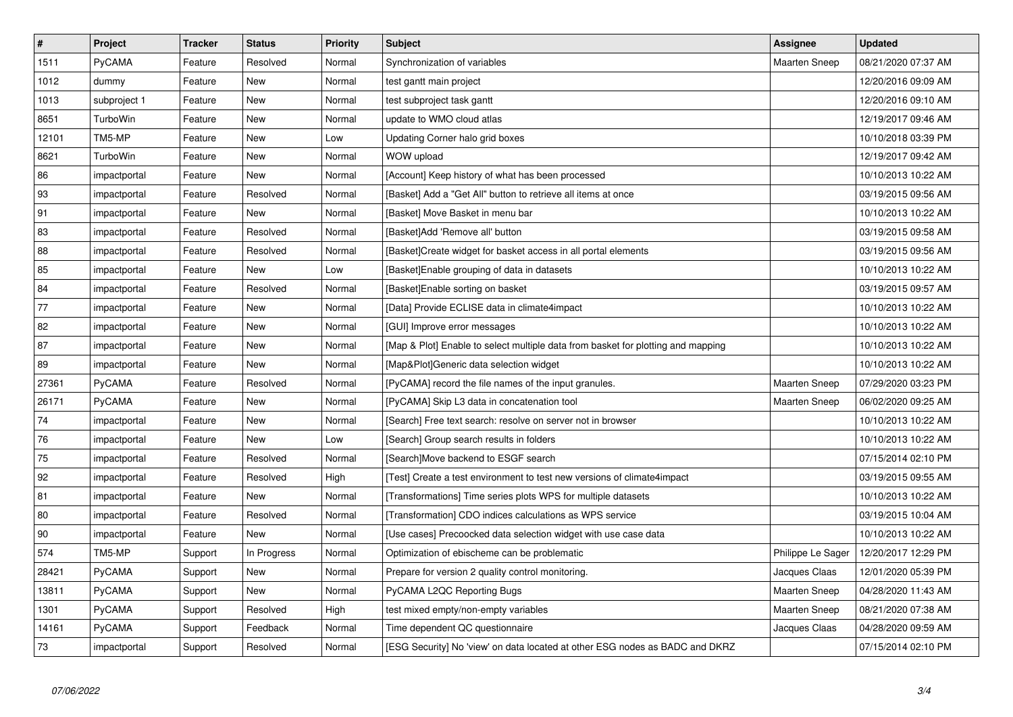| $\pmb{\#}$ | Project         | <b>Tracker</b> | <b>Status</b> | <b>Priority</b> | <b>Subject</b>                                                                   | Assignee             | <b>Updated</b>      |
|------------|-----------------|----------------|---------------|-----------------|----------------------------------------------------------------------------------|----------------------|---------------------|
| 1511       | PyCAMA          | Feature        | Resolved      | Normal          | Synchronization of variables                                                     | <b>Maarten Sneep</b> | 08/21/2020 07:37 AM |
| 1012       | dummy           | Feature        | <b>New</b>    | Normal          | test gantt main project                                                          |                      | 12/20/2016 09:09 AM |
| 1013       | subproject 1    | Feature        | New           | Normal          | test subproject task gantt                                                       |                      | 12/20/2016 09:10 AM |
| 8651       | TurboWin        | Feature        | New           | Normal          | update to WMO cloud atlas                                                        |                      | 12/19/2017 09:46 AM |
| 12101      | TM5-MP          | Feature        | New           | Low             | Updating Corner halo grid boxes                                                  |                      | 10/10/2018 03:39 PM |
| 8621       | <b>TurboWin</b> | Feature        | <b>New</b>    | Normal          | WOW upload                                                                       |                      | 12/19/2017 09:42 AM |
| 86         | impactportal    | Feature        | New           | Normal          | [Account] Keep history of what has been processed                                |                      | 10/10/2013 10:22 AM |
| 93         | impactportal    | Feature        | Resolved      | Normal          | [Basket] Add a "Get All" button to retrieve all items at once                    |                      | 03/19/2015 09:56 AM |
| 91         | impactportal    | Feature        | New           | Normal          | [Basket] Move Basket in menu bar                                                 |                      | 10/10/2013 10:22 AM |
| 83         | impactportal    | Feature        | Resolved      | Normal          | [Basket]Add 'Remove all' button                                                  |                      | 03/19/2015 09:58 AM |
| 88         | impactportal    | Feature        | Resolved      | Normal          | [Basket]Create widget for basket access in all portal elements                   |                      | 03/19/2015 09:56 AM |
| 85         | impactportal    | Feature        | New           | Low             | [Basket]Enable grouping of data in datasets                                      |                      | 10/10/2013 10:22 AM |
| 84         | impactportal    | Feature        | Resolved      | Normal          | [Basket]Enable sorting on basket                                                 |                      | 03/19/2015 09:57 AM |
| 77         | impactportal    | Feature        | New           | Normal          | [Data] Provide ECLISE data in climate4impact                                     |                      | 10/10/2013 10:22 AM |
| 82         | impactportal    | Feature        | New           | Normal          | [GUI] Improve error messages                                                     |                      | 10/10/2013 10:22 AM |
| 87         | impactportal    | Feature        | New           | Normal          | [Map & Plot] Enable to select multiple data from basket for plotting and mapping |                      | 10/10/2013 10:22 AM |
| 89         | impactportal    | Feature        | New           | Normal          | [Map&Plot]Generic data selection widget                                          |                      | 10/10/2013 10:22 AM |
| 27361      | PyCAMA          | Feature        | Resolved      | Normal          | [PyCAMA] record the file names of the input granules.                            | <b>Maarten Sneep</b> | 07/29/2020 03:23 PM |
| 26171      | PyCAMA          | Feature        | New           | Normal          | [PyCAMA] Skip L3 data in concatenation tool                                      | <b>Maarten Sneep</b> | 06/02/2020 09:25 AM |
| 74         | impactportal    | Feature        | <b>New</b>    | Normal          | [Search] Free text search: resolve on server not in browser                      |                      | 10/10/2013 10:22 AM |
| 76         | impactportal    | Feature        | New           | Low             | [Search] Group search results in folders                                         |                      | 10/10/2013 10:22 AM |
| 75         | impactportal    | Feature        | Resolved      | Normal          | [Search]Move backend to ESGF search                                              |                      | 07/15/2014 02:10 PM |
| 92         | impactportal    | Feature        | Resolved      | High            | [Test] Create a test environment to test new versions of climate4impact          |                      | 03/19/2015 09:55 AM |
| 81         | impactportal    | Feature        | New           | Normal          | [Transformations] Time series plots WPS for multiple datasets                    |                      | 10/10/2013 10:22 AM |
| 80         | impactportal    | Feature        | Resolved      | Normal          | [Transformation] CDO indices calculations as WPS service                         |                      | 03/19/2015 10:04 AM |
| 90         | impactportal    | Feature        | New           | Normal          | [Use cases] Precoocked data selection widget with use case data                  |                      | 10/10/2013 10:22 AM |
| 574        | TM5-MP          | Support        | In Progress   | Normal          | Optimization of ebischeme can be problematic                                     | Philippe Le Sager    | 12/20/2017 12:29 PM |
| 28421      | PyCAMA          | Support        | New           | Normal          | Prepare for version 2 quality control monitoring.                                | Jacques Claas        | 12/01/2020 05:39 PM |
| 13811      | PyCAMA          | Support        | New           | Normal          | PyCAMA L2QC Reporting Bugs                                                       | <b>Maarten Sneep</b> | 04/28/2020 11:43 AM |
| 1301       | PyCAMA          | Support        | Resolved      | High            | test mixed empty/non-empty variables                                             | <b>Maarten Sneep</b> | 08/21/2020 07:38 AM |
| 14161      | PyCAMA          | Support        | Feedback      | Normal          | Time dependent QC questionnaire                                                  | Jacques Claas        | 04/28/2020 09:59 AM |
| 73         | impactportal    | Support        | Resolved      | Normal          | [ESG Security] No 'view' on data located at other ESG nodes as BADC and DKRZ     |                      | 07/15/2014 02:10 PM |